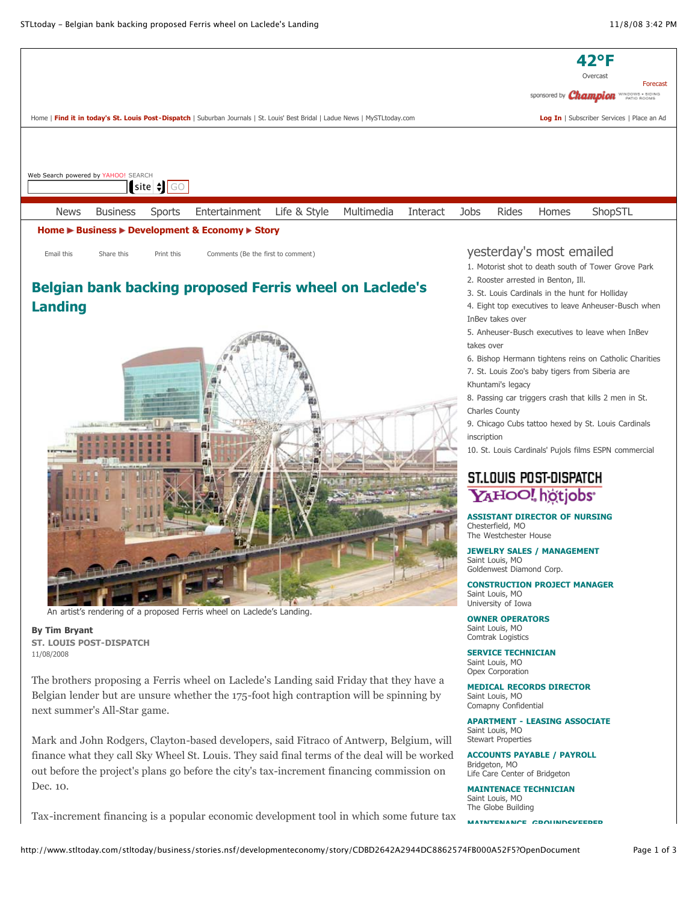

finance what they call Sky Wheel St. Louis. They said final terms of the deal will be worked **[ACCOUNTS PAYABLE / PAYROLL](http://hotjobs.yahoo.com/jobseeker/jobsearch/search_results.html?keywords_all=9338191&detailed_display=1&partner=stlouis)** Bridgeton, MO Life Care Center of Bridgeton

> **[MAINTENACE TECHNICIAN](http://hotjobs.yahoo.com/jobseeker/jobsearch/search_results.html?keywords_all=9337009&detailed_display=1&partner=stlouis)** Saint Louis, MO The Globe Building

**[MAINTENANCE, GROUNDSKEEPER](http://hotjobs.yahoo.com/jobseeker/jobsearch/search_results.html?keywords_all=9316119&detailed_display=1&partner=stlouis)**

out before the project's plans go before the city's tax-increment financing commission on

Tax-increment financing is a popular economic development tool in which some future tax

Dec. 10.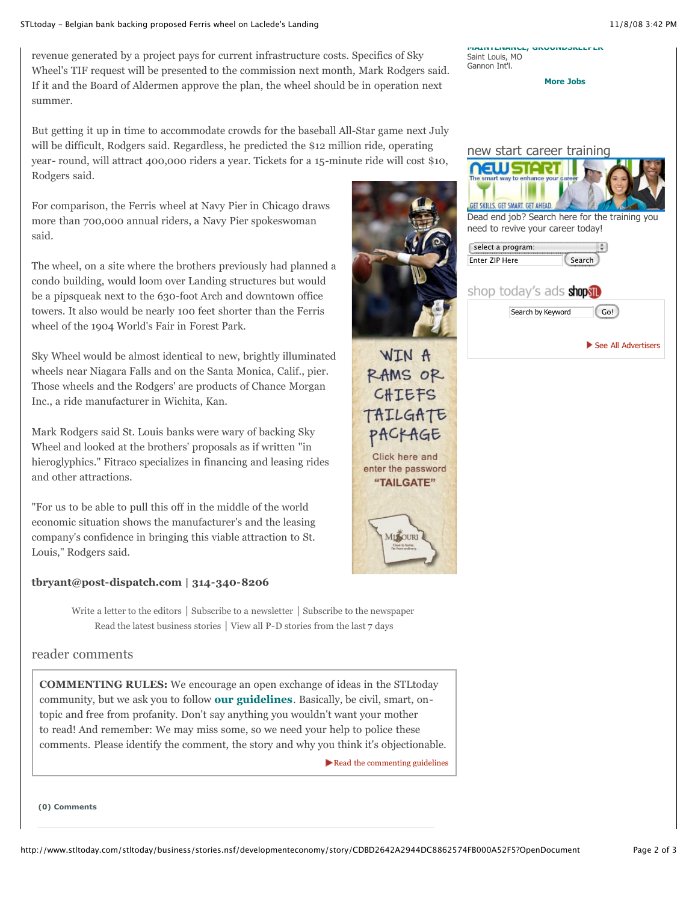revenue generated by a project pays for current infrastructure costs. Specifics of Sky Wheel's TIF request will be presented to the commission next month, Mark Rodgers said. If it and the Board of Aldermen approve the plan, the wheel should be in operation next summer.

But getting it up in time to accommodate crowds for the baseball All-Star game next July will be difficult, Rodgers said. Regardless, he predicted the \$12 million ride, operating year- round, will attract 400,000 riders a year. Tickets for a 15-minute ride will cost \$10, Rodgers said.

For comparison, the Ferris wheel at Navy Pier in Chicago draws more than 700,000 annual riders, a Navy Pier spokeswoman said.

The wheel, on a site where the brothers previously had planned a condo building, would loom over Landing structures but would be a pipsqueak next to the 630-foot Arch and downtown office towers. It also would be nearly 100 feet shorter than the Ferris wheel of the 1904 World's Fair in Forest Park.

Sky Wheel would be almost identical to new, brightly illuminated wheels near Niagara Falls and on the Santa Monica, Calif., pier. Those wheels and the Rodgers' are products of Chance Morgan Inc., a ride manufacturer in Wichita, Kan.

Mark Rodgers said St. Louis banks were wary of backing Sky Wheel and looked at the brothers' proposals as if written "in hieroglyphics." Fitraco specializes in financing and leasing rides and other attractions.

"For us to be able to pull this off in the middle of the world economic situation shows the manufacturer's and the leasing company's confidence in bringing this viable attraction to St. Louis," Rodgers said.

## **tbryant@post-dispatch.com | 314-340-8206**

[Write a letter to the editors](http://www.stltoday.com/stltoday/news/stories.nsf/editorialcommentary/story/F435718CCC4D7D3D8625727B0078D131?OpenDocument) | [Subscribe to a newsletter](http://www.stltoday.com/newsletters) | [Subscribe to the newspaper](http://www.stltoday.com/help/subscriber-services) [Read the latest business stories](http://www.stltoday.com/business) | [View all P-D stories from the last 7 days](http://www.stltoday.com/todayspd)

## reader comments

**COMMENTING RULES:** We encourage an open exchange of ideas in the STLtoday community, but we ask you to follow **[our guidelines](http://www.stltoday.com/stltoday/help/stories.nsf/termsofservice/story/58C6115339C8CADB8625706800596EE1?OpenDocument)**. Basically, be civil, smart, ontopic and free from profanity. Don't say anything you wouldn't want your mother to read! And remember: We may miss some, so we need your help to police these comments. Please identify the comment, the story and why you think it's objectionable.

[Read the commenting guidelines](http://www.stltoday.com/stltoday/help/stories.nsf/termsofservice/story/58C6115339C8CADB8625706800596EE1?OpenDocument)

WIN A RAMS OR CHIEFS TAILGATE ACKAGE Click here and enter the password "TAILGATE"

**MISOURI** 

**(0) Comments**



**[MAINTENANCE, GROUNDSKEEPER](http://hotjobs.yahoo.com/jobseeker/jobsearch/search_results.html?keywords_all=9316119&detailed_display=1&partner=stlouis)** Saint Louis, MO Gannon Int'l.

**[More Jobs](http://www.stltoday.com/stltoday/jobs/stories.nsf/SS/Jobs-Popular+Searches?OpenDocument)**